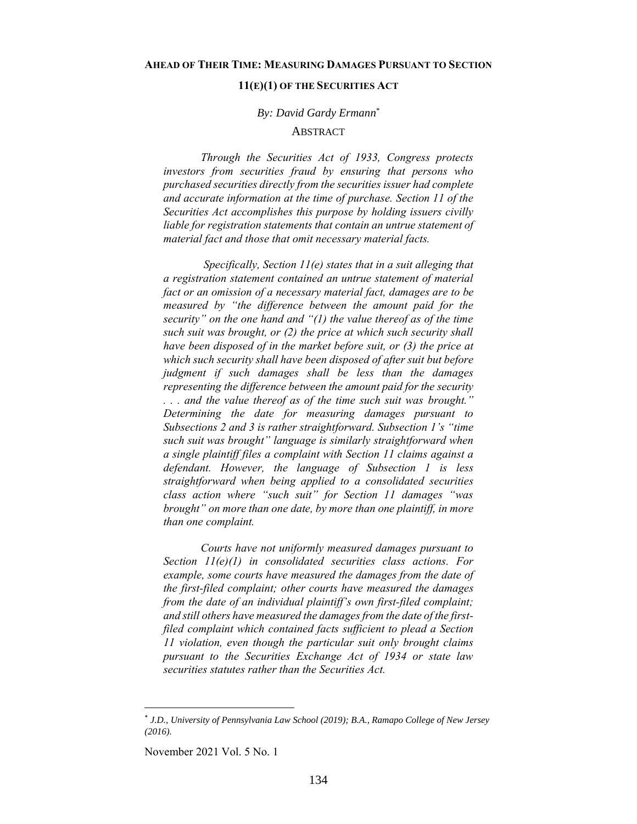## **11(E)(1) OF THE SECURITIES ACT**

# *By: David Gardy Ermann \**

## **ABSTRACT**

<span id="page-0-0"></span>*Through the Securities Act of 1933, Congress protects investors from securities fraud by ensuring that persons who purchased securities directly from the securities issuer had complete and accurate information at the time of purchase. Section 11 of the Securities Act accomplishes this purpose by holding issuers civilly liable for registration statements that contain an untrue statement of material fact and those that omit necessary material facts.* 

*Specifically, Section 11(e) states that in a suit alleging that a registration statement contained an untrue statement of material fact or an omission of a necessary material fact, damages are to be measured by "the difference between the amount paid for the security" on the one hand and "(1) the value thereof as of the time such suit was brought, or (2) the price at which such security shall have been disposed of in the market before suit, or (3) the price at which such security shall have been disposed of after suit but before judgment if such damages shall be less than the damages representing the difference between the amount paid for the security . . . and the value thereof as of the time such suit was brought." Determining the date for measuring damages pursuant to Subsections 2 and 3 is rather straightforward. Subsection 1's "time such suit was brought" language is similarly straightforward when a single plaintiff files a complaint with Section 11 claims against a defendant. However, the language of Subsection 1 is less straightforward when being applied to a consolidated securities class action where "such suit" for Section 11 damages "was brought" on more than one date, by more than one plaintiff, in more than one complaint.*

*Courts have not uniformly measured damages pursuant to Section 11(e)(1) in consolidated securities class actions. For example, some courts have measured the damages from the date of the first-filed complaint; other courts have measured the damages from the date of an individual plaintiff's own first-filed complaint; and still others have measured the damages from the date of the firstfiled complaint which contained facts sufficient to plead a Section 11 violation, even though the particular suit only brought claims pursuant to the Securities Exchange Act of 1934 or state law securities statutes rather than the Securities Act.*

November 2021 Vol. 5 No. 1

<sup>\*</sup> *J.D., University of Pennsylvania Law School (2019); B.A., Ramapo College of New Jersey (2016).*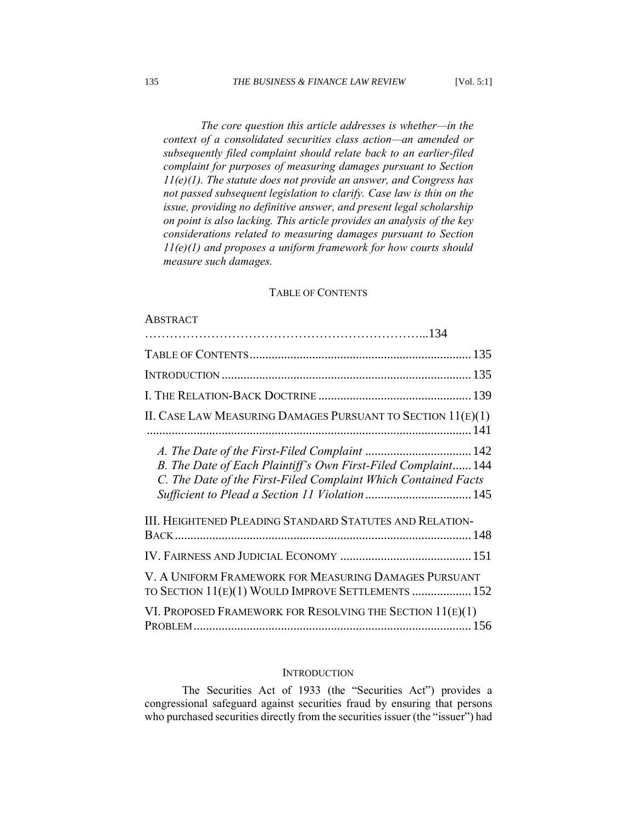*The core question this article addresses is whether—in the context of a consolidated securities class action—an amended or subsequently filed complaint should relate back to an earlier-filed complaint for purposes of measuring damages pursuant to Section 11(e)(1). The statute does not provide an answer, and Congress has not passed subsequent legislation to clarify. Case law is thin on the issue, providing no definitive answer, and present legal scholarship on point is also lacking. This article provides an analysis of the key considerations related to measuring damages pursuant to Section 11(e)(1) and proposes a uniform framework for how courts should measure such damages.*

# TABLE OF CONTENTS

#### <span id="page-1-0"></span>**A[BSTRACT](#page-0-0)**

| II. CASE LAW MEASURING DAMAGES PURSUANT TO SECTION $11(E)(1)$                                                                   |
|---------------------------------------------------------------------------------------------------------------------------------|
| B. The Date of Each Plaintiff's Own First-Filed Complaint 144<br>C. The Date of the First-Filed Complaint Which Contained Facts |
| <b>III. HEIGHTENED PLEADING STANDARD STATUTES AND RELATION-</b>                                                                 |
|                                                                                                                                 |
| V. A UNIFORM FRAMEWORK FOR MEASURING DAMAGES PURSUANT<br>TO SECTION 11(E)(1) WOULD IMPROVE SETTLEMENTS  152                     |
| VI. PROPOSED FRAMEWORK FOR RESOLVING THE SECTION 11(E)(1)                                                                       |

## **INTRODUCTION**

<span id="page-1-1"></span>The Securities Act of 1933 (the "Securities Act") provides a congressional safeguard against securities fraud by ensuring that persons who purchased securities directly from the securities issuer (the "issuer") had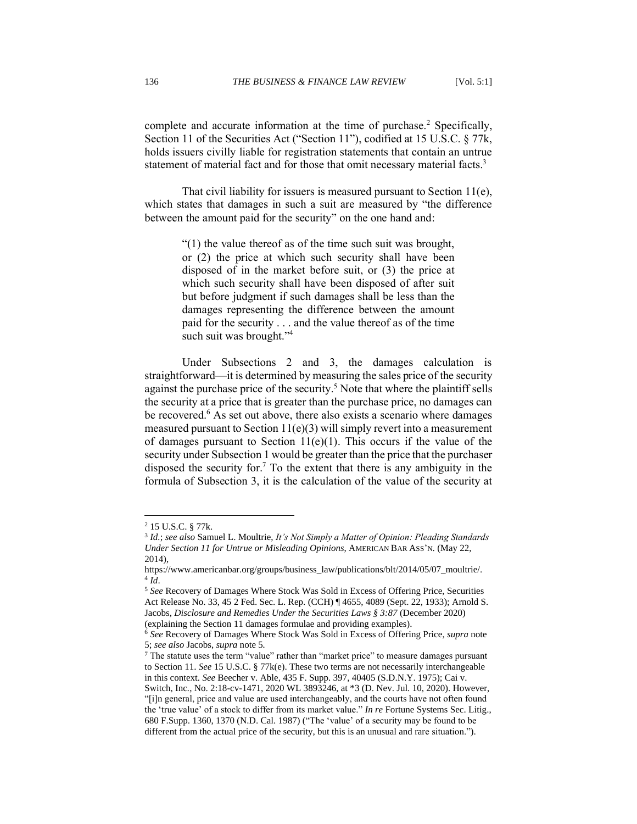complete and accurate information at the time of purchase.<sup>2</sup> Specifically, Section 11 of the Securities Act ("Section 11"), codified at 15 U.S.C. § 77k, holds issuers civilly liable for registration statements that contain an untrue statement of material fact and for those that omit necessary material facts.<sup>3</sup>

That civil liability for issuers is measured pursuant to Section 11(e), which states that damages in such a suit are measured by "the difference between the amount paid for the security" on the one hand and:

> "(1) the value thereof as of the time such suit was brought, or (2) the price at which such security shall have been disposed of in the market before suit, or (3) the price at which such security shall have been disposed of after suit but before judgment if such damages shall be less than the damages representing the difference between the amount paid for the security . . . and the value thereof as of the time such suit was brought."<sup>4</sup>

Under Subsections 2 and 3, the damages calculation is straightforward—it is determined by measuring the sales price of the security against the purchase price of the security. <sup>5</sup> Note that where the plaintiff sells the security at a price that is greater than the purchase price, no damages can be recovered.<sup>6</sup> As set out above, there also exists a scenario where damages measured pursuant to Section  $11(e)(3)$  will simply revert into a measurement of damages pursuant to Section  $11(e)(1)$ . This occurs if the value of the security under Subsection 1 would be greater than the price that the purchaser disposed the security for. <sup>7</sup> To the extent that there is any ambiguity in the formula of Subsection 3, it is the calculation of the value of the security at

<sup>2</sup> 15 U.S.C. § 77k.

<sup>3</sup> *Id.*; *see also* Samuel L. Moultrie, *It's Not Simply a Matter of Opinion: Pleading Standards Under Section 11 for Untrue or Misleading Opinions*, AMERICAN BAR ASS'N. (May 22, 2014),

https://www.americanbar.org/groups/business\_law/publications/blt/2014/05/07\_moultrie/. 4 *Id*.

<sup>5</sup> *See* Recovery of Damages Where Stock Was Sold in Excess of Offering Price, Securities Act Release No. 33, 45 2 Fed. Sec. L. Rep. (CCH) ¶ 4655, 4089 (Sept. 22, 1933); Arnold S. Jacobs, *Disclosure and Remedies Under the Securities Laws § 3:87* (December 2020) (explaining the Section 11 damages formulae and providing examples).

<sup>6</sup> *See* Recovery of Damages Where Stock Was Sold in Excess of Offering Price, *supra* note 5; *see also* Jacobs, *supra* note 5*.*

<sup>&</sup>lt;sup>7</sup> The statute uses the term "value" rather than "market price" to measure damages pursuant to Section 11. *See* 15 U.S.C. § 77k(e). These two terms are not necessarily interchangeable in this context. *See* Beecher v. Able, 435 F. Supp. 397, 40405 (S.D.N.Y. 1975); Cai v.

Switch, Inc*.*, No. 2:18-cv-1471, 2020 WL 3893246, at \*3 (D. Nev. Jul. 10, 2020). However, "[i]n general, price and value are used interchangeably, and the courts have not often found the 'true value' of a stock to differ from its market value." *In re* Fortune Systems Sec. Litig., 680 F.Supp. 1360, 1370 (N.D. Cal. 1987) ("The 'value' of a security may be found to be different from the actual price of the security, but this is an unusual and rare situation.").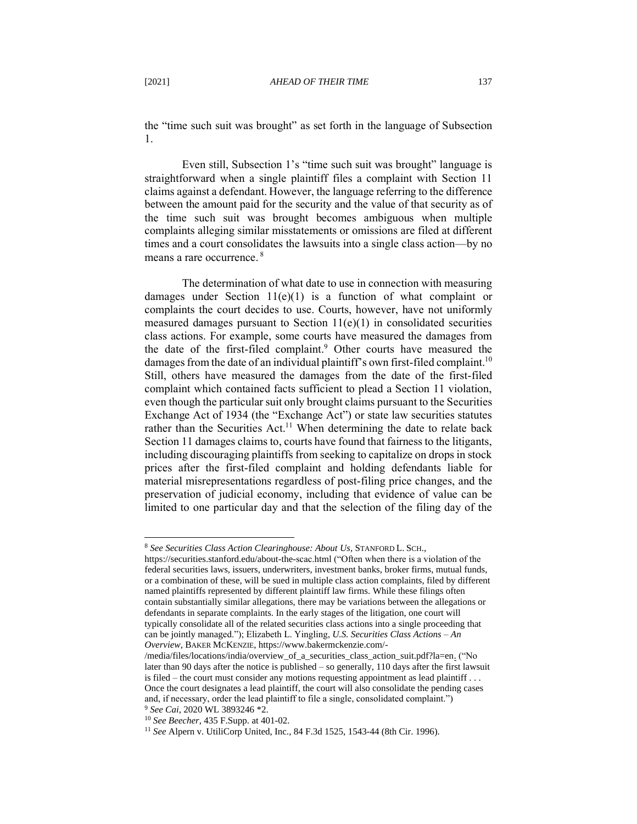the "time such suit was brought" as set forth in the language of Subsection 1.

Even still, Subsection 1's "time such suit was brought" language is straightforward when a single plaintiff files a complaint with Section 11 claims against a defendant. However, the language referring to the difference between the amount paid for the security and the value of that security as of the time such suit was brought becomes ambiguous when multiple complaints alleging similar misstatements or omissions are filed at different times and a court consolidates the lawsuits into a single class action—by no means a rare occurrence.<sup>8</sup>

The determination of what date to use in connection with measuring damages under Section  $11(e)(1)$  is a function of what complaint or complaints the court decides to use. Courts, however, have not uniformly measured damages pursuant to Section  $11(e)(1)$  in consolidated securities class actions. For example, some courts have measured the damages from the date of the first-filed complaint. <sup>9</sup> Other courts have measured the damages from the date of an individual plaintiff's own first-filed complaint.<sup>10</sup> Still, others have measured the damages from the date of the first-filed complaint which contained facts sufficient to plead a Section 11 violation, even though the particular suit only brought claims pursuant to the Securities Exchange Act of 1934 (the "Exchange Act") or state law securities statutes rather than the Securities Act.<sup>11</sup> When determining the date to relate back Section 11 damages claims to, courts have found that fairness to the litigants, including discouraging plaintiffs from seeking to capitalize on drops in stock prices after the first-filed complaint and holding defendants liable for material misrepresentations regardless of post-filing price changes, and the preservation of judicial economy, including that evidence of value can be limited to one particular day and that the selection of the filing day of the

<sup>8</sup> *See Securities Class Action Clearinghouse: About Us,* STANFORD L. SCH.,

https://securities.stanford.edu/about-the-scac.html ("Often when there is a violation of the federal securities laws, issuers, underwriters, investment banks, broker firms, mutual funds, or a combination of these, will be sued in multiple class action complaints, filed by different named plaintiffs represented by different plaintiff law firms. While these filings often contain substantially similar allegations, there may be variations between the allegations or defendants in separate complaints. In the early stages of the litigation, one court will typically consolidate all of the related securities class actions into a single proceeding that can be jointly managed."); Elizabeth L. Yingling, *U.S. Securities Class Actions – An Overview*, BAKER MCKENZIE, https://www.bakermckenzie.com/-

<sup>/</sup>media/files/locations/india/overview\_of\_a\_securities\_class\_action\_suit.pdf?la=en. ("No later than 90 days after the notice is published – so generally, 110 days after the first lawsuit is filed – the court must consider any motions requesting appointment as lead plaintiff . . . Once the court designates a lead plaintiff, the court will also consolidate the pending cases and, if necessary, order the lead plaintiff to file a single, consolidated complaint.") <sup>9</sup> *See Cai*, 2020 WL 3893246 \*2.

<sup>10</sup> *See Beecher*, 435 F.Supp. at 401-02.

<sup>11</sup> *See* Alpern v. UtiliCorp United, Inc.*,* 84 F.3d 1525, 1543-44 (8th Cir. 1996).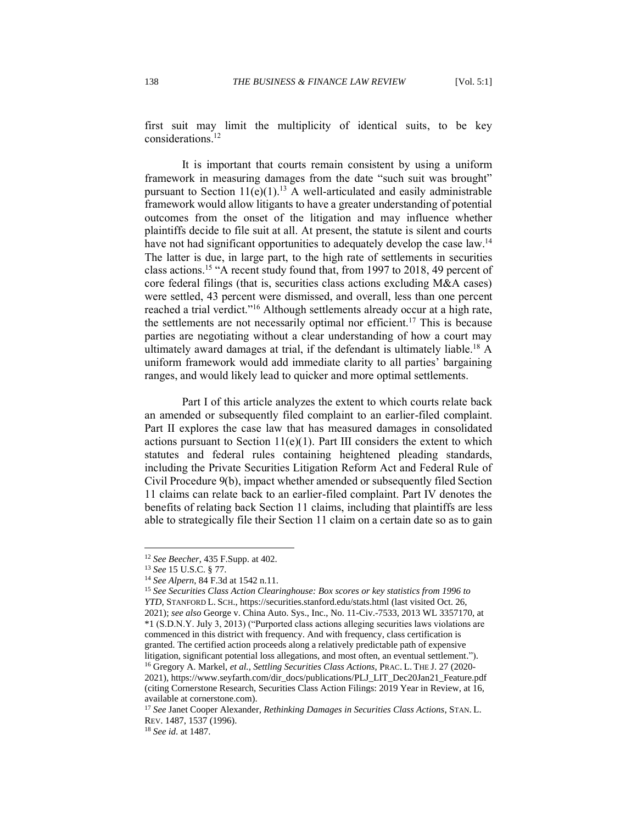first suit may limit the multiplicity of identical suits, to be key considerations.<sup>12</sup>

It is important that courts remain consistent by using a uniform framework in measuring damages from the date "such suit was brought" pursuant to Section  $11(e)(1)$ .<sup>13</sup> A well-articulated and easily administrable framework would allow litigants to have a greater understanding of potential outcomes from the onset of the litigation and may influence whether plaintiffs decide to file suit at all. At present, the statute is silent and courts have not had significant opportunities to adequately develop the case law.<sup>14</sup> The latter is due, in large part, to the high rate of settlements in securities class actions.<sup>15</sup> "A recent study found that, from 1997 to 2018, 49 percent of core federal filings (that is, securities class actions excluding M&A cases) were settled, 43 percent were dismissed, and overall, less than one percent reached a trial verdict."<sup>16</sup> Although settlements already occur at a high rate, the settlements are not necessarily optimal nor efficient.<sup>17</sup> This is because parties are negotiating without a clear understanding of how a court may ultimately award damages at trial, if the defendant is ultimately liable.<sup>18</sup> A uniform framework would add immediate clarity to all parties' bargaining ranges, and would likely lead to quicker and more optimal settlements.

Part I of this article analyzes the extent to which courts relate back an amended or subsequently filed complaint to an earlier-filed complaint. Part II explores the case law that has measured damages in consolidated actions pursuant to Section  $11(e)(1)$ . Part III considers the extent to which statutes and federal rules containing heightened pleading standards, including the Private Securities Litigation Reform Act and Federal Rule of Civil Procedure 9(b), impact whether amended or subsequently filed Section 11 claims can relate back to an earlier-filed complaint. Part IV denotes the benefits of relating back Section 11 claims, including that plaintiffs are less able to strategically file their Section 11 claim on a certain date so as to gain

<sup>12</sup> *See Beecher*, 435 F.Supp. at 402.

<sup>13</sup> *See* 15 U.S.C. § 77.

<sup>14</sup> *See Alpern*, 84 F.3d at 1542 n.11.

<sup>15</sup> *See Securities Class Action Clearinghouse: Box scores or key statistics from 1996 to YTD,* STANFORD L. SCH., https://securities.stanford.edu/stats.html (last visited Oct. 26, 2021); *see also* George v. China Auto. Sys., Inc., No. 11-Civ.-7533, 2013 WL 3357170, at \*1 (S.D.N.Y. July 3, 2013) ("Purported class actions alleging securities laws violations are commenced in this district with frequency. And with frequency, class certification is granted. The certified action proceeds along a relatively predictable path of expensive litigation, significant potential loss allegations, and most often, an eventual settlement."). <sup>16</sup> Gregory A. Markel, *et al.*, *Settling Securities Class Actions*, PRAC. L. THE J. 27 (2020- 2021), https://www.seyfarth.com/dir\_docs/publications/PLJ\_LIT\_Dec20Jan21\_Feature.pdf (citing Cornerstone Research, Securities Class Action Filings: 2019 Year in Review, at 16, available at cornerstone.com).

<sup>17</sup> *See* Janet Cooper Alexander*, Rethinking Damages in Securities Class Actions*, STAN. L. REV. 1487, 1537 (1996).

<sup>18</sup> *See id*. at 1487.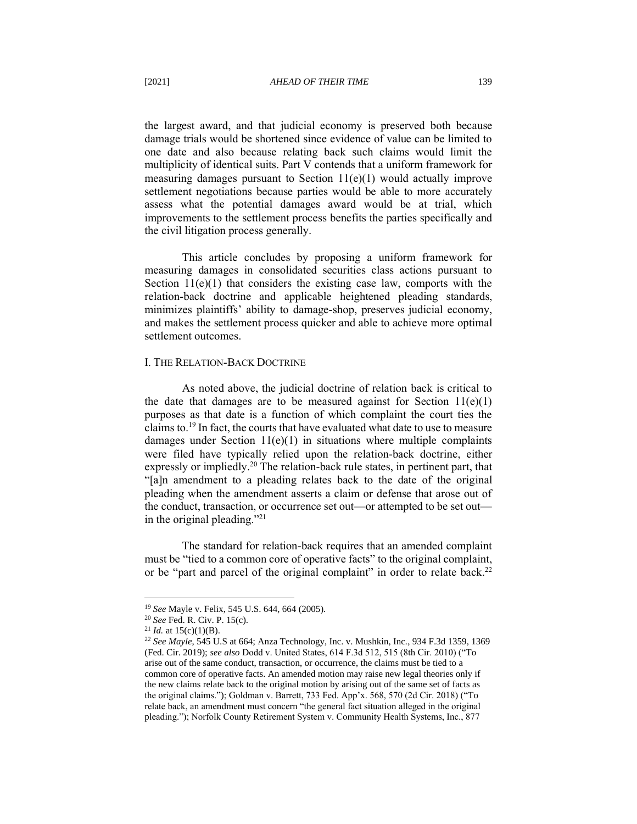the largest award, and that judicial economy is preserved both because damage trials would be shortened since evidence of value can be limited to one date and also because relating back such claims would limit the multiplicity of identical suits. Part V contends that a uniform framework for measuring damages pursuant to Section 11(e)(1) would actually improve settlement negotiations because parties would be able to more accurately assess what the potential damages award would be at trial, which improvements to the settlement process benefits the parties specifically and the civil litigation process generally.

This article concludes by proposing a uniform framework for measuring damages in consolidated securities class actions pursuant to Section  $11(e)(1)$  that considers the existing case law, comports with the relation-back doctrine and applicable heightened pleading standards, minimizes plaintiffs' ability to damage-shop, preserves judicial economy, and makes the settlement process quicker and able to achieve more optimal settlement outcomes.

#### <span id="page-5-0"></span>I. THE RELATION-BACK DOCTRINE

As noted above, the judicial doctrine of relation back is critical to the date that damages are to be measured against for Section  $11(e)(1)$ purposes as that date is a function of which complaint the court ties the claims to.<sup>19</sup> In fact, the courts that have evaluated what date to use to measure damages under Section  $11(e)(1)$  in situations where multiple complaints were filed have typically relied upon the relation-back doctrine, either expressly or impliedly.<sup>20</sup> The relation-back rule states, in pertinent part, that "[a]n amendment to a pleading relates back to the date of the original pleading when the amendment asserts a claim or defense that arose out of the conduct, transaction, or occurrence set out—or attempted to be set out in the original pleading."<sup>21</sup>

The standard for relation-back requires that an amended complaint must be "tied to a common core of operative facts" to the original complaint, or be "part and parcel of the original complaint" in order to relate back.<sup>22</sup>

<sup>19</sup> *See* Mayle v. Felix, 545 U.S. 644, 664 (2005).

<sup>20</sup> *See* Fed. R. Civ. P. 15(c).

<sup>&</sup>lt;sup>21</sup> *Id.* at  $15(c)(1)(B)$ .

<sup>22</sup> *See Mayle*, 545 U.S at 664; Anza Technology, Inc. v. Mushkin*,* Inc*.*, 934 F.3d 1359, 1369 (Fed. Cir. 2019); *see also* Dodd v. United States, 614 F.3d 512, 515 (8th Cir. 2010) ("To arise out of the same conduct, transaction, or occurrence, the claims must be tied to a common core of operative facts. An amended motion may raise new legal theories only if the new claims relate back to the original motion by arising out of the same set of facts as the original claims."); Goldman v. Barrett, 733 Fed. App'x. 568, 570 (2d Cir. 2018) ("To relate back, an amendment must concern "the general fact situation alleged in the original pleading."); Norfolk County Retirement System v. Community Health Systems, Inc., 877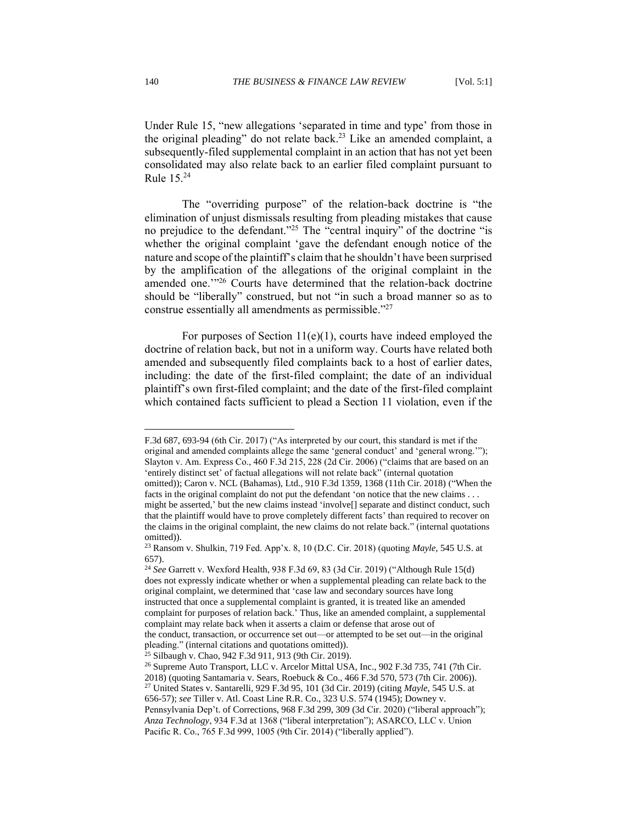Under Rule 15, "new allegations 'separated in time and type' from those in the original pleading" do not relate back.<sup>23</sup> Like an amended complaint, a subsequently-filed supplemental complaint in an action that has not yet been consolidated may also relate back to an earlier filed complaint pursuant to Rule 15.<sup>24</sup>

The "overriding purpose" of the relation-back doctrine is "the elimination of unjust dismissals resulting from pleading mistakes that cause no prejudice to the defendant."<sup>25</sup> The "central inquiry" of the doctrine "is whether the original complaint 'gave the defendant enough notice of the nature and scope of the plaintiff's claim that he shouldn't have been surprised by the amplification of the allegations of the original complaint in the amended one.'" <sup>26</sup> Courts have determined that the relation-back doctrine should be "liberally" construed, but not "in such a broad manner so as to construe essentially all amendments as permissible."<sup>27</sup>

For purposes of Section 11(e)(1), courts have indeed employed the doctrine of relation back, but not in a uniform way. Courts have related both amended and subsequently filed complaints back to a host of earlier dates, including: the date of the first-filed complaint; the date of an individual plaintiff's own first-filed complaint; and the date of the first-filed complaint which contained facts sufficient to plead a Section 11 violation, even if the

F.3d 687, 693-94 (6th Cir. 2017) ("As interpreted by our court, this standard is met if the original and amended complaints allege the same 'general conduct' and 'general wrong.'"); Slayton v. Am. Express Co., 460 F.3d 215, 228 (2d Cir. 2006) ("claims that are based on an 'entirely distinct set' of factual allegations will not relate back" (internal quotation omitted)); Caron v. NCL (Bahamas), Ltd., 910 F.3d 1359, 1368 (11th Cir. 2018) ("When the facts in the original complaint do not put the defendant 'on notice that the new claims . . .

might be asserted,' but the new claims instead 'involve[] separate and distinct conduct, such that the plaintiff would have to prove completely different facts' than required to recover on the claims in the original complaint, the new claims do not relate back." (internal quotations omitted)).

<sup>23</sup> Ransom v. Shulkin, 719 Fed. App'x. 8, 10 (D.C. Cir. 2018) (quoting *Mayle*, 545 U.S. at 657).

<sup>24</sup> *See* Garrett v. Wexford Health, 938 F.3d 69, 83 (3d Cir. 2019) ("Although Rule 15(d) does not expressly indicate whether or when a supplemental pleading can relate back to the original complaint, we determined that 'case law and secondary sources have long instructed that once a supplemental complaint is granted, it is treated like an amended complaint for purposes of relation back.' Thus, like an amended complaint, a supplemental complaint may relate back when it asserts a claim or defense that arose out of the conduct, transaction, or occurrence set out—or attempted to be set out—in the original pleading." (internal citations and quotations omitted)).

<sup>25</sup> Silbaugh v. Chao, 942 F.3d 911, 913 (9th Cir. 2019).

<sup>&</sup>lt;sup>26</sup> Supreme Auto Transport, LLC v. Arcelor Mittal USA, Inc., 902 F.3d 735, 741 (7th Cir.

<sup>2018) (</sup>quoting Santamaria v. Sears, Roebuck & Co., 466 F.3d 570, 573 (7th Cir. 2006)). <sup>27</sup> United States v. Santarelli, 929 F.3d 95, 101 (3d Cir. 2019) (citing *Mayle*, 545 U.S. at

<sup>656-57);</sup> *see* Tiller v. Atl. Coast Line R.R. Co., 323 U.S. 574 (1945); Downey v.

Pennsylvania Dep't. of Corrections, 968 F.3d 299, 309 (3d Cir. 2020) ("liberal approach");

*Anza Technology*, 934 F.3d at 1368 ("liberal interpretation"); ASARCO, LLC v. Union Pacific R. Co., 765 F.3d 999, 1005 (9th Cir. 2014) ("liberally applied").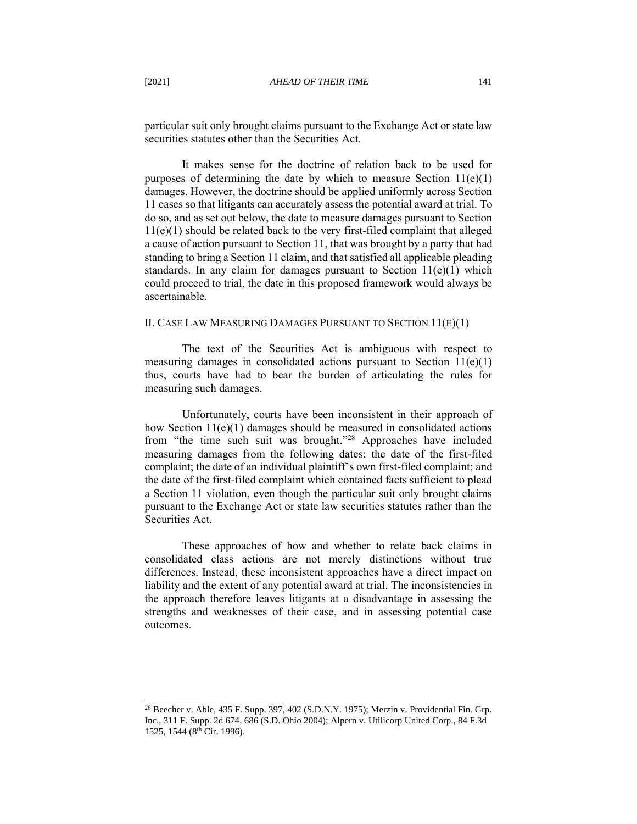It makes sense for the doctrine of relation back to be used for purposes of determining the date by which to measure Section 11(e)(1) damages. However, the doctrine should be applied uniformly across Section 11 cases so that litigants can accurately assess the potential award at trial. To do so, and as set out below, the date to measure damages pursuant to Section 11(e)(1) should be related back to the very first-filed complaint that alleged a cause of action pursuant to Section 11, that was brought by a party that had standing to bring a Section 11 claim, and that satisfied all applicable pleading standards. In any claim for damages pursuant to Section  $11(e)(1)$  which could proceed to trial, the date in this proposed framework would always be ascertainable.

## <span id="page-7-0"></span>II. CASE LAW MEASURING DAMAGES PURSUANT TO SECTION 11(E)(1)

The text of the Securities Act is ambiguous with respect to measuring damages in consolidated actions pursuant to Section 11(e)(1) thus, courts have had to bear the burden of articulating the rules for measuring such damages.

Unfortunately, courts have been inconsistent in their approach of how Section 11(e)(1) damages should be measured in consolidated actions from "the time such suit was brought." <sup>28</sup> Approaches have included measuring damages from the following dates: the date of the first-filed complaint; the date of an individual plaintiff's own first-filed complaint; and the date of the first-filed complaint which contained facts sufficient to plead a Section 11 violation, even though the particular suit only brought claims pursuant to the Exchange Act or state law securities statutes rather than the Securities Act.

These approaches of how and whether to relate back claims in consolidated class actions are not merely distinctions without true differences. Instead, these inconsistent approaches have a direct impact on liability and the extent of any potential award at trial. The inconsistencies in the approach therefore leaves litigants at a disadvantage in assessing the strengths and weaknesses of their case, and in assessing potential case outcomes.

<sup>&</sup>lt;sup>28</sup> Beecher v. Able, 435 F. Supp. 397, 402 (S.D.N.Y. 1975); Merzin v. Providential Fin. Grp. Inc., 311 F. Supp. 2d 674, 686 (S.D. Ohio 2004); Alpern v. Utilicorp United Corp., 84 F.3d 1525, 1544 (8th Cir. 1996).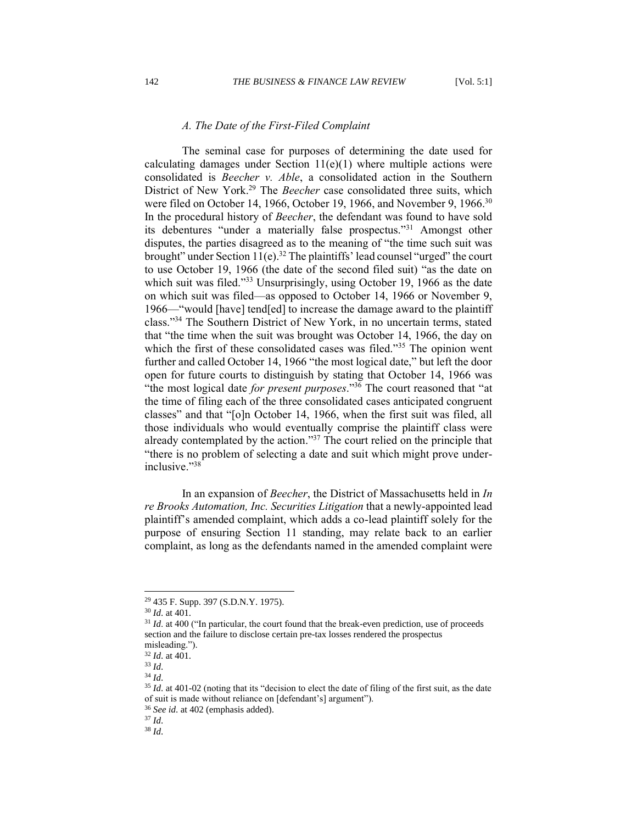## *A. The Date of the First-Filed Complaint*

<span id="page-8-0"></span>The seminal case for purposes of determining the date used for calculating damages under Section  $11(e)(1)$  where multiple actions were consolidated is *Beecher v. Able*, a consolidated action in the Southern District of New York.<sup>29</sup> The *Beecher* case consolidated three suits, which were filed on October 14, 1966, October 19, 1966, and November 9, 1966.<sup>30</sup> In the procedural history of *Beecher*, the defendant was found to have sold its debentures "under a materially false prospectus."<sup>31</sup> Amongst other disputes, the parties disagreed as to the meaning of "the time such suit was brought" under Section  $11(e)$ .<sup>32</sup> The plaintiffs' lead counsel "urged" the court to use October 19, 1966 (the date of the second filed suit) "as the date on which suit was filed."<sup>33</sup> Unsurprisingly, using October 19, 1966 as the date on which suit was filed—as opposed to October 14, 1966 or November 9, 1966—"would [have] tend[ed] to increase the damage award to the plaintiff class."<sup>34</sup> The Southern District of New York, in no uncertain terms, stated that "the time when the suit was brought was October 14, 1966, the day on which the first of these consolidated cases was filed."<sup>35</sup> The opinion went further and called October 14, 1966 "the most logical date," but left the door open for future courts to distinguish by stating that October 14, 1966 was "the most logical date *for present purposes*."<sup>36</sup> The court reasoned that "at the time of filing each of the three consolidated cases anticipated congruent classes" and that "[o]n October 14, 1966, when the first suit was filed, all those individuals who would eventually comprise the plaintiff class were already contemplated by the action."<sup>37</sup> The court relied on the principle that "there is no problem of selecting a date and suit which might prove underinclusive." 38

In an expansion of *Beecher*, the District of Massachusetts held in *In re Brooks Automation, Inc. Securities Litigation* that a newly-appointed lead plaintiff's amended complaint, which adds a co-lead plaintiff solely for the purpose of ensuring Section 11 standing, may relate back to an earlier complaint, as long as the defendants named in the amended complaint were

<sup>34</sup> *Id*.

<sup>29</sup> 435 F. Supp. 397 (S.D.N.Y. 1975).

<sup>30</sup> *Id*. at 401.

<sup>&</sup>lt;sup>31</sup> *Id.* at 400 ("In particular, the court found that the break-even prediction, use of proceeds section and the failure to disclose certain pre-tax losses rendered the prospectus misleading.").

<sup>32</sup> *Id*. at 401.

<sup>33</sup> *Id*.

<sup>&</sup>lt;sup>35</sup> *Id.* at 401-02 (noting that its "decision to elect the date of filing of the first suit, as the date of suit is made without reliance on [defendant's] argument").

<sup>36</sup> *See id*. at 402 (emphasis added).

<sup>37</sup> *Id*.

<sup>38</sup> *Id*.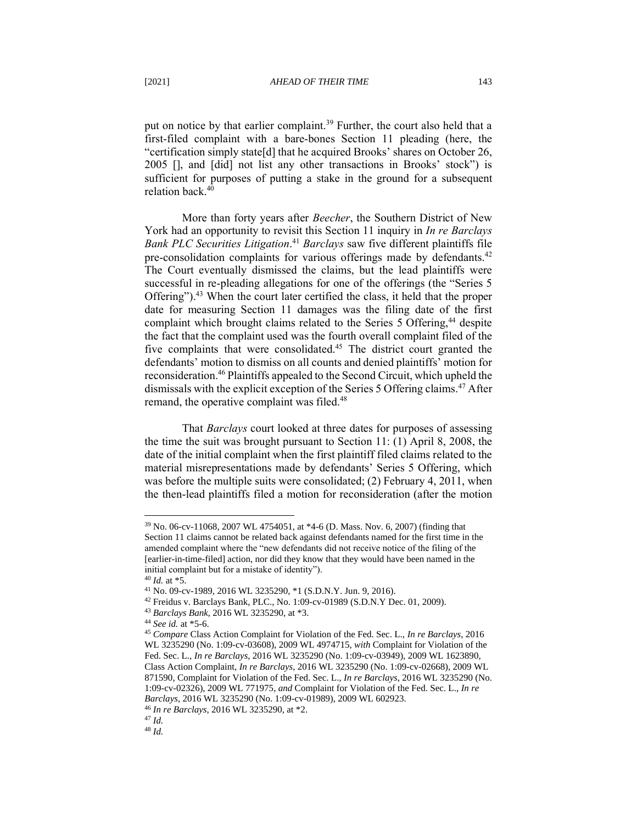put on notice by that earlier complaint.<sup>39</sup> Further, the court also held that a first-filed complaint with a bare-bones Section 11 pleading (here, the "certification simply state[d] that he acquired Brooks' shares on October 26, 2005 [], and [did] not list any other transactions in Brooks' stock") is sufficient for purposes of putting a stake in the ground for a subsequent relation back.<sup>40</sup>

More than forty years after *Beecher*, the Southern District of New York had an opportunity to revisit this Section 11 inquiry in *In re Barclays Bank PLC Securities Litigation*. <sup>41</sup> *Barclays* saw five different plaintiffs file pre-consolidation complaints for various offerings made by defendants.<sup>42</sup> The Court eventually dismissed the claims, but the lead plaintiffs were successful in re-pleading allegations for one of the offerings (the "Series 5 Offering").<sup>43</sup> When the court later certified the class, it held that the proper date for measuring Section 11 damages was the filing date of the first complaint which brought claims related to the Series 5 Offering,<sup>44</sup> despite the fact that the complaint used was the fourth overall complaint filed of the five complaints that were consolidated.<sup>45</sup> The district court granted the defendants' motion to dismiss on all counts and denied plaintiffs' motion for reconsideration.<sup>46</sup> Plaintiffs appealed to the Second Circuit, which upheld the dismissals with the explicit exception of the Series 5 Offering claims.<sup>47</sup> After remand, the operative complaint was filed.<sup>48</sup>

That *Barclays* court looked at three dates for purposes of assessing the time the suit was brought pursuant to Section 11: (1) April 8, 2008, the date of the initial complaint when the first plaintiff filed claims related to the material misrepresentations made by defendants' Series 5 Offering, which was before the multiple suits were consolidated; (2) February 4, 2011, when the then-lead plaintiffs filed a motion for reconsideration (after the motion

<sup>39</sup> No. 06-cv-11068, 2007 WL 4754051, at \*4-6 (D. Mass. Nov. 6, 2007) (finding that Section 11 claims cannot be related back against defendants named for the first time in the amended complaint where the "new defendants did not receive notice of the filing of the [earlier-in-time-filed] action, nor did they know that they would have been named in the initial complaint but for a mistake of identity").

 $40$  *Id.* at  $*5$ .

<sup>41</sup> No. 09-cv-1989, 2016 WL 3235290, \*1 (S.D.N.Y. Jun. 9, 2016).

<sup>42</sup> Freidus v. Barclays Bank, PLC., No. 1:09-cv-01989 (S.D.N.Y Dec. 01, 2009).

<sup>43</sup> *Barclays Bank*, 2016 WL 3235290, at \*3.

<sup>44</sup> *See id.* at \*5-6.

<sup>45</sup> *Compare* Class Action Complaint for Violation of the Fed. Sec. L., *In re Barclays*, 2016 WL 3235290 (No. 1:09-cv-03608), 2009 WL 4974715, *with* Complaint for Violation of the Fed. Sec. L., *In re Barclays*, 2016 WL 3235290 (No. 1:09-cv-03949), 2009 WL 1623890, Class Action Complaint, *In re Barclays*, 2016 WL 3235290 (No. 1:09-cv-02668), 2009 WL 871590, Complaint for Violation of the Fed. Sec. L., *In re Barclays*, 2016 WL 3235290 (No. 1:09-cv-02326), 2009 WL 771975, *and* Complaint for Violation of the Fed. Sec. L., *In re Barclays*, 2016 WL 3235290 (No. 1:09-cv-01989), 2009 WL 602923.

<sup>46</sup> *In re Barclays*, 2016 WL 3235290, at \*2.

<sup>47</sup> *Id.* <sup>48</sup> *Id.*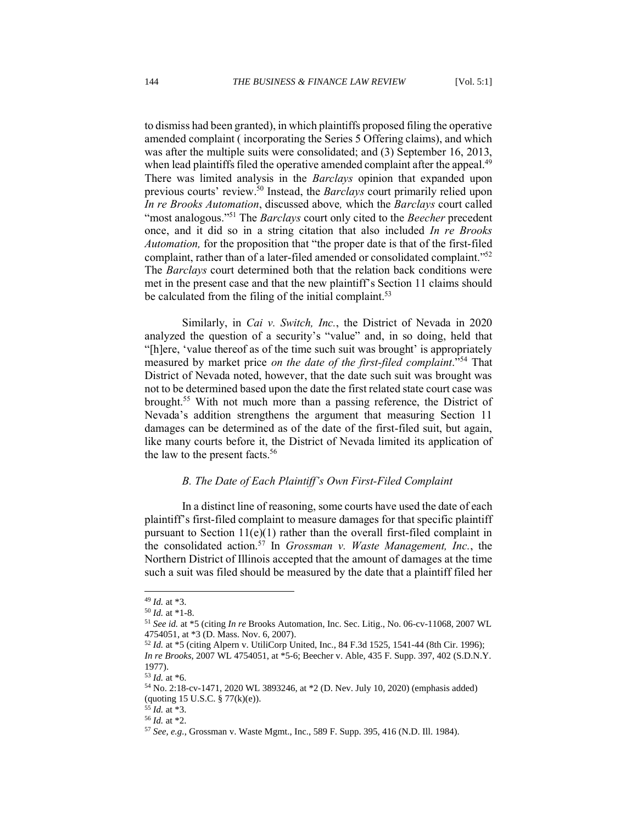to dismiss had been granted), in which plaintiffs proposed filing the operative amended complaint ( incorporating the Series 5 Offering claims), and which was after the multiple suits were consolidated; and (3) September 16, 2013, when lead plaintiffs filed the operative amended complaint after the appeal.<sup>49</sup> There was limited analysis in the *Barclays* opinion that expanded upon previous courts' review. <sup>50</sup> Instead, the *Barclays* court primarily relied upon *In re Brooks Automation*, discussed above*,* which the *Barclays* court called "most analogous."<sup>51</sup> The *Barclays* court only cited to the *Beecher* precedent once, and it did so in a string citation that also included *In re Brooks Automation,* for the proposition that "the proper date is that of the first-filed complaint, rather than of a later-filed amended or consolidated complaint."<sup>52</sup> The *Barclays* court determined both that the relation back conditions were met in the present case and that the new plaintiff's Section 11 claims should be calculated from the filing of the initial complaint.<sup>53</sup>

Similarly, in *Cai v. Switch, Inc.*, the District of Nevada in 2020 analyzed the question of a security's "value" and, in so doing, held that "[h]ere, 'value thereof as of the time such suit was brought' is appropriately measured by market price *on the date of the first-filed complaint*."<sup>54</sup> That District of Nevada noted, however, that the date such suit was brought was not to be determined based upon the date the first related state court case was brought.<sup>55</sup> With not much more than a passing reference, the District of Nevada's addition strengthens the argument that measuring Section 11 damages can be determined as of the date of the first-filed suit, but again, like many courts before it, the District of Nevada limited its application of the law to the present facts. 56

## *B. The Date of Each Plaintiff's Own First-Filed Complaint*

<span id="page-10-0"></span>In a distinct line of reasoning, some courts have used the date of each plaintiff's first-filed complaint to measure damages for that specific plaintiff pursuant to Section  $11(e)(1)$  rather than the overall first-filed complaint in the consolidated action.<sup>57</sup> In *Grossman v. Waste Management, Inc.*, the Northern District of Illinois accepted that the amount of damages at the time such a suit was filed should be measured by the date that a plaintiff filed her

<sup>49</sup> *Id.* at \*3.

<sup>50</sup> *Id.* at \*1-8.

<sup>51</sup> *See id.* at \*5 (citing *In re* Brooks Automation, Inc. Sec. Litig., No. 06-cv-11068, 2007 WL 4754051, at \*3 (D. Mass. Nov. 6, 2007).

<sup>52</sup> *Id.* at \*5 (citing Alpern v. UtiliCorp United, Inc., 84 F.3d 1525, 1541-44 (8th Cir. 1996); *In re Brooks*, 2007 WL 4754051, at \*5-6; Beecher v. Able, 435 F. Supp. 397, 402 (S.D.N.Y. 1977).

<sup>53</sup> *Id.* at \*6.

<sup>54</sup> No. 2:18-cv-1471, 2020 WL 3893246, at \*2 (D. Nev. July 10, 2020) (emphasis added) (quoting 15 U.S.C. § 77(k)(e)).

<sup>55</sup> *Id.* at \*3.

<sup>56</sup> *Id.* at \*2.

<sup>57</sup> *See, e.g.*, Grossman v. Waste Mgmt., Inc., 589 F. Supp. 395, 416 (N.D. Ill. 1984).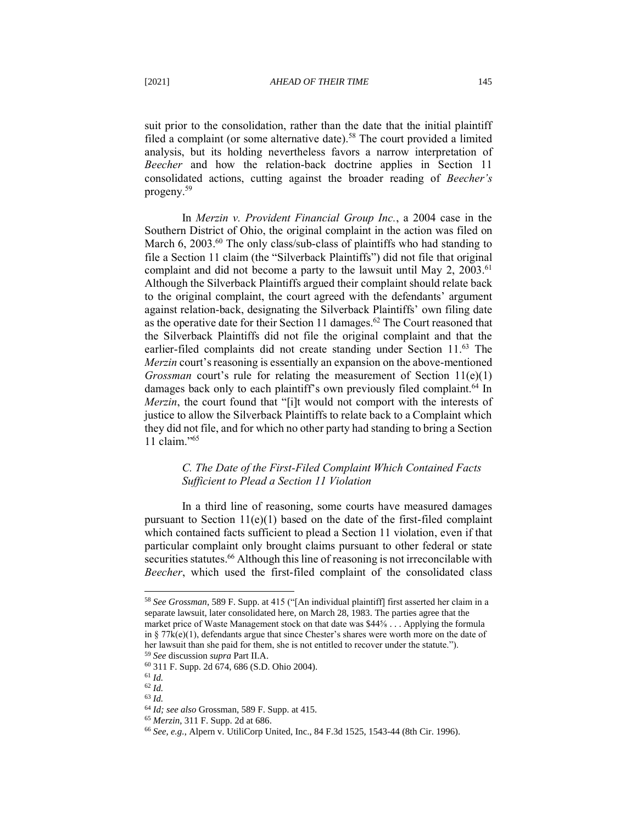suit prior to the consolidation, rather than the date that the initial plaintiff filed a complaint (or some alternative date).<sup>58</sup> The court provided a limited analysis, but its holding nevertheless favors a narrow interpretation of *Beecher* and how the relation-back doctrine applies in Section 11 consolidated actions, cutting against the broader reading of *Beecher's*  progeny.<sup>59</sup>

In *Merzin v. Provident Financial Group Inc.*, a 2004 case in the Southern District of Ohio, the original complaint in the action was filed on March 6, 2003. $^{60}$  The only class/sub-class of plaintiffs who had standing to file a Section 11 claim (the "Silverback Plaintiffs") did not file that original complaint and did not become a party to the lawsuit until May 2, 2003.<sup>61</sup> Although the Silverback Plaintiffs argued their complaint should relate back to the original complaint, the court agreed with the defendants' argument against relation-back, designating the Silverback Plaintiffs' own filing date as the operative date for their Section 11 damages.<sup>62</sup> The Court reasoned that the Silverback Plaintiffs did not file the original complaint and that the earlier-filed complaints did not create standing under Section 11.<sup>63</sup> The *Merzin* court's reasoning is essentially an expansion on the above-mentioned *Grossman* court's rule for relating the measurement of Section 11(e)(1) damages back only to each plaintiff's own previously filed complaint.<sup>64</sup> In *Merzin*, the court found that "[i]t would not comport with the interests of justice to allow the Silverback Plaintiffs to relate back to a Complaint which they did not file, and for which no other party had standing to bring a Section 11 claim."<sup>65</sup>

# <span id="page-11-0"></span>*C. The Date of the First-Filed Complaint Which Contained Facts Sufficient to Plead a Section 11 Violation*

In a third line of reasoning, some courts have measured damages pursuant to Section  $11(e)(1)$  based on the date of the first-filed complaint which contained facts sufficient to plead a Section 11 violation, even if that particular complaint only brought claims pursuant to other federal or state securities statutes.<sup>66</sup> Although this line of reasoning is not irreconcilable with *Beecher*, which used the first-filed complaint of the consolidated class

<sup>58</sup> *See Grossman*, 589 F. Supp. at 415 ("[An individual plaintiff] first asserted her claim in a separate lawsuit, later consolidated here, on March 28, 1983. The parties agree that the market price of Waste Management stock on that date was \$44⅝ . . . Applying the formula in §  $77k(e)(1)$ , defendants argue that since Chester's shares were worth more on the date of her lawsuit than she paid for them, she is not entitled to recover under the statute.").

<sup>59</sup> *See* discussion *supra* Part II.A.

<sup>60</sup> 311 F. Supp. 2d 674, 686 (S.D. Ohio 2004).

<sup>61</sup> *Id.*

<sup>62</sup> *Id.*

<sup>63</sup> *Id.*

<sup>64</sup> *Id; see also* Grossman, 589 F. Supp. at 415.

<sup>65</sup> *Merzin*, 311 F. Supp. 2d at 686.

<sup>66</sup> *See, e.g.*, Alpern v. UtiliCorp United, Inc., 84 F.3d 1525, 1543-44 (8th Cir. 1996).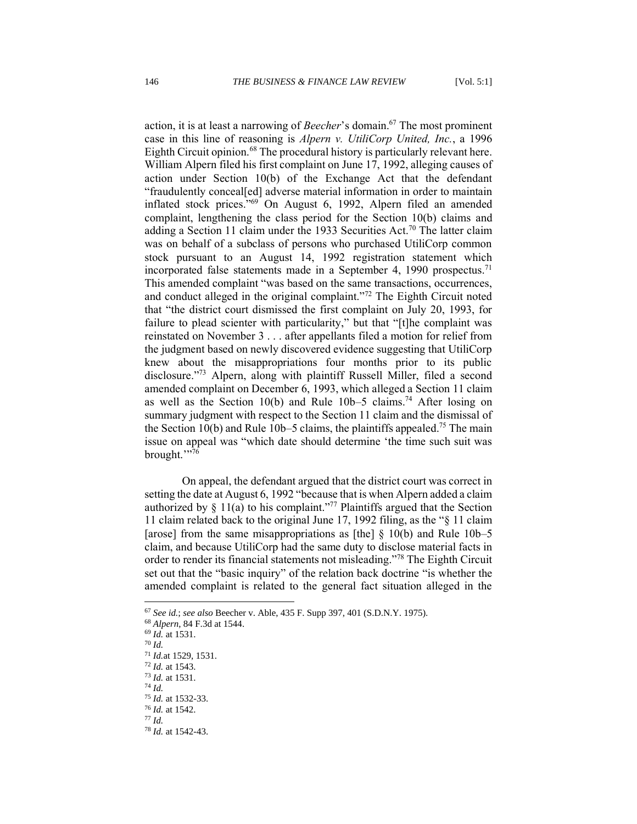action, it is at least a narrowing of *Beecher*'s domain.<sup>67</sup> The most prominent case in this line of reasoning is *Alpern v. UtiliCorp United, Inc.*, a 1996 Eighth Circuit opinion.<sup>68</sup> The procedural history is particularly relevant here. William Alpern filed his first complaint on June 17, 1992, alleging causes of action under Section 10(b) of the Exchange Act that the defendant "fraudulently conceal[ed] adverse material information in order to maintain inflated stock prices."<sup>69</sup> On August 6, 1992, Alpern filed an amended complaint, lengthening the class period for the Section 10(b) claims and adding a Section 11 claim under the 1933 Securities Act.<sup>70</sup> The latter claim was on behalf of a subclass of persons who purchased UtiliCorp common stock pursuant to an August 14, 1992 registration statement which incorporated false statements made in a September 4, 1990 prospectus.<sup>71</sup> This amended complaint "was based on the same transactions, occurrences, and conduct alleged in the original complaint."<sup>72</sup> The Eighth Circuit noted that "the district court dismissed the first complaint on July 20, 1993, for failure to plead scienter with particularity," but that "[t]he complaint was reinstated on November 3 . . . after appellants filed a motion for relief from the judgment based on newly discovered evidence suggesting that UtiliCorp knew about the misappropriations four months prior to its public disclosure."<sup>73</sup> Alpern, along with plaintiff Russell Miller, filed a second amended complaint on December 6, 1993, which alleged a Section 11 claim as well as the Section 10(b) and Rule  $10b-5$  claims.<sup>74</sup> After losing on summary judgment with respect to the Section 11 claim and the dismissal of the Section 10(b) and Rule 10b–5 claims, the plaintiffs appealed.<sup>75</sup> The main issue on appeal was "which date should determine 'the time such suit was brought."<sup>76</sup>

On appeal, the defendant argued that the district court was correct in setting the date at August 6, 1992 "because that is when Alpern added a claim authorized by  $\S 11(a)$  to his complaint."<sup>77</sup> Plaintiffs argued that the Section 11 claim related back to the original June 17, 1992 filing, as the "§ 11 claim [arose] from the same misappropriations as [the]  $\S$  10(b) and Rule 10b–5 claim, and because UtiliCorp had the same duty to disclose material facts in order to render its financial statements not misleading."<sup>78</sup> The Eighth Circuit set out that the "basic inquiry" of the relation back doctrine "is whether the amended complaint is related to the general fact situation alleged in the

<sup>70</sup> *Id.*

<sup>67</sup> *See id.*; *see also* Beecher v. Able, 435 F. Supp 397, 401 (S.D.N.Y. 1975).

<sup>68</sup> *Alpern*, 84 F.3d at 1544.

<sup>69</sup> *Id.* at 1531.

<sup>71</sup> *Id.*at 1529, 1531.

<sup>72</sup> *Id.* at 1543.

<sup>73</sup> *Id.* at 1531.

<sup>74</sup> *Id.*

<sup>75</sup> *Id.* at 1532-33. <sup>76</sup> *Id.* at 1542.

<sup>77</sup> *Id.*

<sup>78</sup> *Id.* at 1542-43.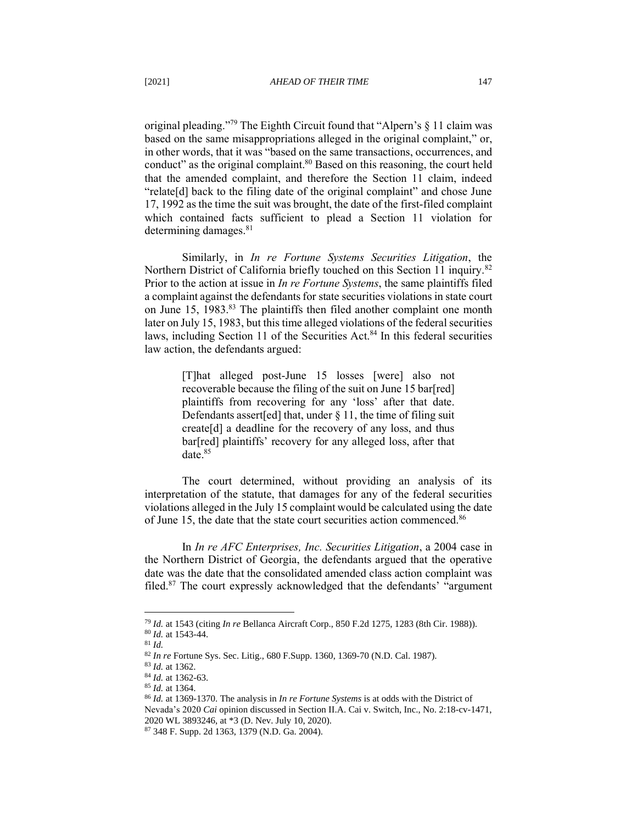original pleading." <sup>79</sup> The Eighth Circuit found that "Alpern's § 11 claim was based on the same misappropriations alleged in the original complaint," or, in other words, that it was "based on the same transactions, occurrences, and conduct" as the original complaint.<sup>80</sup> Based on this reasoning, the court held that the amended complaint, and therefore the Section 11 claim, indeed "relate[d] back to the filing date of the original complaint" and chose June 17, 1992 as the time the suit was brought, the date of the first-filed complaint which contained facts sufficient to plead a Section 11 violation for determining damages. $81$ 

Similarly, in *In re Fortune Systems Securities Litigation*, the Northern District of California briefly touched on this Section 11 inquiry.<sup>82</sup> Prior to the action at issue in *In re Fortune Systems*, the same plaintiffs filed a complaint against the defendants for state securities violations in state court on June 15, 1983.<sup>83</sup> The plaintiffs then filed another complaint one month later on July 15, 1983, but this time alleged violations of the federal securities laws, including Section 11 of the Securities Act.<sup>84</sup> In this federal securities law action, the defendants argued:

> [T]hat alleged post-June 15 losses [were] also not recoverable because the filing of the suit on June 15 bar[red] plaintiffs from recovering for any 'loss' after that date. Defendants assert[ed] that, under § 11, the time of filing suit create[d] a deadline for the recovery of any loss, and thus bar[red] plaintiffs' recovery for any alleged loss, after that date.<sup>85</sup>

The court determined, without providing an analysis of its interpretation of the statute, that damages for any of the federal securities violations alleged in the July 15 complaint would be calculated using the date of June 15, the date that the state court securities action commenced.<sup>86</sup>

In *In re AFC Enterprises, Inc. Securities Litigation*, a 2004 case in the Northern District of Georgia, the defendants argued that the operative date was the date that the consolidated amended class action complaint was filed.<sup>87</sup> The court expressly acknowledged that the defendants' "argument

<sup>85</sup> *Id.* at 1364.

<sup>79</sup> *Id.* at 1543 (citing *In re* Bellanca Aircraft Corp., 850 F.2d 1275, 1283 (8th Cir. 1988)). <sup>80</sup> *Id.* at 1543-44.

<sup>81</sup> *Id.*

<sup>82</sup> *In re* Fortune Sys. Sec. Litig., 680 F.Supp. 1360, 1369-70 (N.D. Cal. 1987).

<sup>83</sup> *Id.* at 1362.

<sup>84</sup> *Id.* at 1362-63.

<sup>86</sup> *Id.* at 1369-1370. The analysis in *In re Fortune Systems* is at odds with the District of Nevada's 2020 *Cai* opinion discussed in Section II.A. Cai v. Switch, Inc., No. 2:18-cv-1471, 2020 WL 3893246, at \*3 (D. Nev. July 10, 2020).

<sup>87</sup> 348 F. Supp. 2d 1363, 1379 (N.D. Ga. 2004).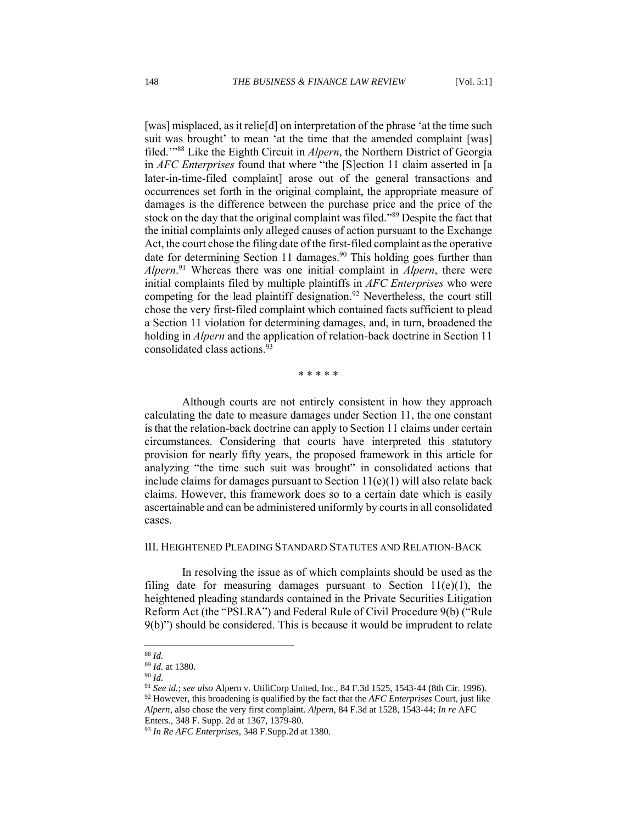[was] misplaced, as it relie[d] on interpretation of the phrase 'at the time such suit was brought' to mean 'at the time that the amended complaint [was] filed.'"<sup>88</sup> Like the Eighth Circuit in *Alpern*, the Northern District of Georgia in *AFC Enterprises* found that where "the [S]ection 11 claim asserted in [a later-in-time-filed complaint] arose out of the general transactions and occurrences set forth in the original complaint, the appropriate measure of damages is the difference between the purchase price and the price of the stock on the day that the original complaint was filed."<sup>89</sup> Despite the fact that the initial complaints only alleged causes of action pursuant to the Exchange Act, the court chose the filing date of the first-filed complaint as the operative date for determining Section 11 damages.<sup>90</sup> This holding goes further than *Alpern*. <sup>91</sup> Whereas there was one initial complaint in *Alpern*, there were initial complaints filed by multiple plaintiffs in *AFC Enterprises* who were competing for the lead plaintiff designation.<sup>92</sup> Nevertheless, the court still chose the very first-filed complaint which contained facts sufficient to plead a Section 11 violation for determining damages, and, in turn, broadened the holding in *Alpern* and the application of relation-back doctrine in Section 11 consolidated class actions.<sup>93</sup>

\* \* \* \* \*

Although courts are not entirely consistent in how they approach calculating the date to measure damages under Section 11, the one constant is that the relation-back doctrine can apply to Section 11 claims under certain circumstances. Considering that courts have interpreted this statutory provision for nearly fifty years, the proposed framework in this article for analyzing "the time such suit was brought" in consolidated actions that include claims for damages pursuant to Section  $11(e)(1)$  will also relate back claims. However, this framework does so to a certain date which is easily ascertainable and can be administered uniformly by courts in all consolidated cases.

#### <span id="page-14-0"></span>III. HEIGHTENED PLEADING STANDARD STATUTES AND RELATION-BACK

In resolving the issue as of which complaints should be used as the filing date for measuring damages pursuant to Section  $11(e)(1)$ , the heightened pleading standards contained in the Private Securities Litigation Reform Act (the "PSLRA") and Federal Rule of Civil Procedure 9(b) ("Rule 9(b)") should be considered. This is because it would be imprudent to relate

<sup>88</sup> *Id.*

<sup>89</sup> *Id.* at 1380.

<sup>90</sup> *Id.*

<sup>91</sup> *See id.*; *see also* Alpern v. UtiliCorp United, Inc., 84 F.3d 1525, 1543-44 (8th Cir. 1996).

<sup>92</sup> However, this broadening is qualified by the fact that the *AFC Enterprises* Court, just like *Alpern*, also chose the very first complaint. *Alpern*, 84 F.3d at 1528, 1543-44; *In re* AFC

Enters., 348 F. Supp. 2d at 1367, 1379-80.

<sup>93</sup> *In Re AFC Enterprises*, 348 F.Supp.2d at 1380.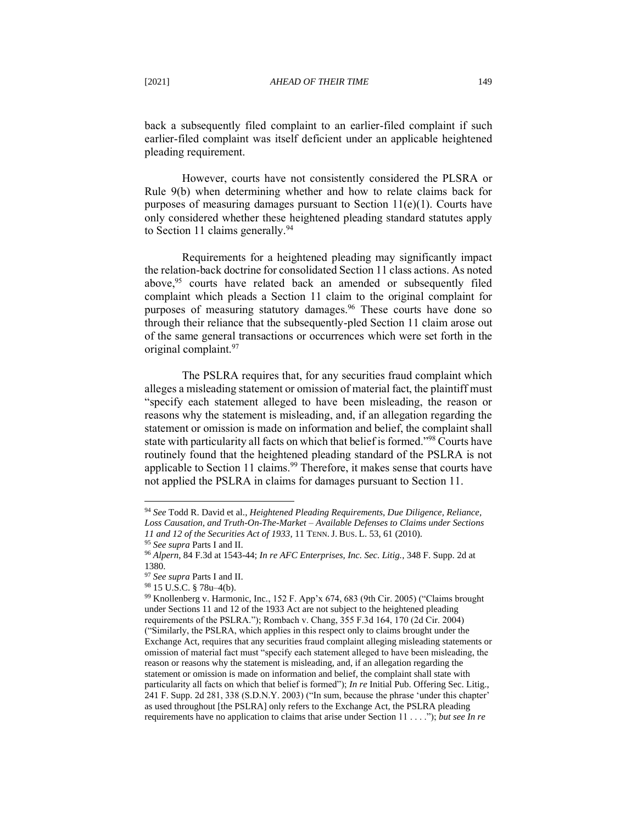back a subsequently filed complaint to an earlier-filed complaint if such earlier-filed complaint was itself deficient under an applicable heightened pleading requirement.

However, courts have not consistently considered the PLSRA or Rule 9(b) when determining whether and how to relate claims back for purposes of measuring damages pursuant to Section  $11(e)(1)$ . Courts have only considered whether these heightened pleading standard statutes apply to Section 11 claims generally.  $94$ 

Requirements for a heightened pleading may significantly impact the relation-back doctrine for consolidated Section 11 class actions. As noted above,<sup>95</sup> courts have related back an amended or subsequently filed complaint which pleads a Section 11 claim to the original complaint for purposes of measuring statutory damages.<sup>96</sup> These courts have done so through their reliance that the subsequently-pled Section 11 claim arose out of the same general transactions or occurrences which were set forth in the original complaint.<sup>97</sup>

The PSLRA requires that, for any securities fraud complaint which alleges a misleading statement or omission of material fact, the plaintiff must "specify each statement alleged to have been misleading, the reason or reasons why the statement is misleading, and, if an allegation regarding the statement or omission is made on information and belief, the complaint shall state with particularity all facts on which that belief is formed."<sup>98</sup> Courts have routinely found that the heightened pleading standard of the PSLRA is not applicable to Section 11 claims.<sup>99</sup> Therefore, it makes sense that courts have not applied the PSLRA in claims for damages pursuant to Section 11.

<sup>94</sup> *See* Todd R. David et al., *Heightened Pleading Requirements, Due Diligence, Reliance, Loss Causation, and Truth-On-The-Market – Available Defenses to Claims under Sections 11 and 12 of the Securities Act of 1933*, 11 TENN.J. BUS. L. 53, 61 (2010).

<sup>95</sup> *See supra* Parts I and II.

<sup>96</sup> *Alpern*, 84 F.3d at 1543-44; *In re AFC Enterprises, Inc. Sec. Litig.*, 348 F. Supp. 2d at 1380.

<sup>97</sup> *See supra* Parts I and II.

<sup>98</sup> 15 U.S.C. § 78u–4(b).

<sup>99</sup> Knollenberg v. Harmonic, Inc*.*, 152 F. App'x 674, 683 (9th Cir. 2005) ("Claims brought under Sections 11 and 12 of the 1933 Act are not subject to the heightened pleading requirements of the PSLRA."); Rombach v. Chang, 355 F.3d 164, 170 (2d Cir. 2004) ("Similarly, the PSLRA, which applies in this respect only to claims brought under the Exchange Act, requires that any securities fraud complaint alleging misleading statements or omission of material fact must "specify each statement alleged to have been misleading, the reason or reasons why the statement is misleading, and, if an allegation regarding the statement or omission is made on information and belief, the complaint shall state with particularity all facts on which that belief is formed"); *In re* Initial Pub. Offering Sec. Litig., 241 F. Supp. 2d 281, 338 (S.D.N.Y. 2003) ("In sum, because the phrase 'under this chapter' as used throughout [the PSLRA] only refers to the Exchange Act, the PSLRA pleading requirements have no application to claims that arise under Section 11 . . . ."); *but see In re*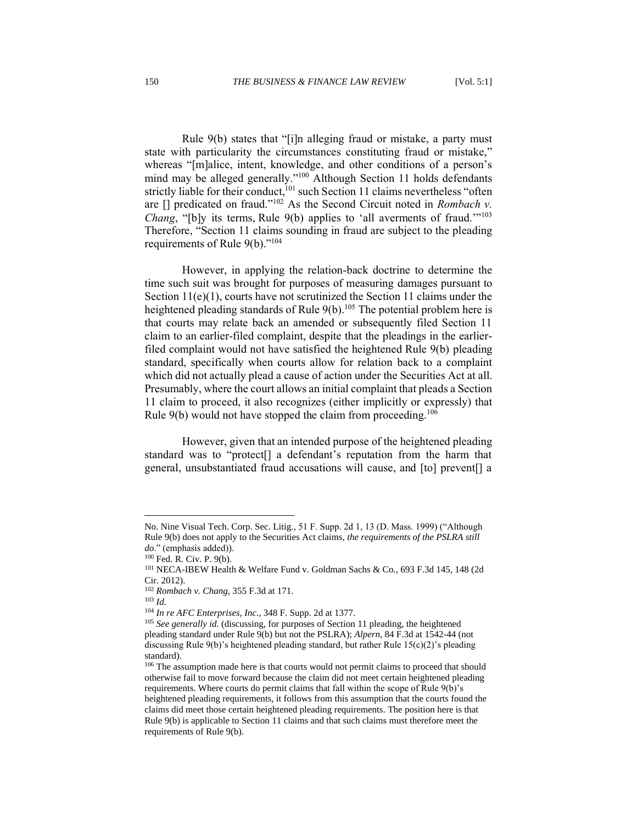Rule 9(b) states that "[i]n alleging fraud or mistake, a party must state with particularity the circumstances constituting fraud or mistake," whereas "[m]alice, intent, knowledge, and other conditions of a person's mind may be alleged generally."<sup>100</sup> Although Section 11 holds defendants strictly liable for their conduct,<sup>101</sup> such Section 11 claims nevertheless "often are [] predicated on fraud."<sup>102</sup> As the Second Circuit noted in *Rombach v. Chang*, "[b]y its terms, Rule 9(b) applies to 'all averments of fraud."<sup>103</sup> Therefore, "Section 11 claims sounding in fraud are subject to the pleading requirements of Rule 9(b)."<sup>104</sup>

However, in applying the relation-back doctrine to determine the time such suit was brought for purposes of measuring damages pursuant to Section 11(e)(1), courts have not scrutinized the Section 11 claims under the heightened pleading standards of Rule  $9(b)$ .<sup>105</sup> The potential problem here is that courts may relate back an amended or subsequently filed Section 11 claim to an earlier-filed complaint, despite that the pleadings in the earlierfiled complaint would not have satisfied the heightened Rule 9(b) pleading standard, specifically when courts allow for relation back to a complaint which did not actually plead a cause of action under the Securities Act at all. Presumably, where the court allows an initial complaint that pleads a Section 11 claim to proceed, it also recognizes (either implicitly or expressly) that Rule  $9(b)$  would not have stopped the claim from proceeding.<sup>106</sup>

However, given that an intended purpose of the heightened pleading standard was to "protect[] a defendant's reputation from the harm that general, unsubstantiated fraud accusations will cause, and [to] prevent[] a

No. Nine Visual Tech. Corp. Sec. Litig*.*, 51 F. Supp. 2d 1, 13 (D. Mass. 1999) ("Although Rule 9(b) does not apply to the Securities Act claims, *the requirements of the PSLRA still do*." (emphasis added)).

<sup>100</sup> Fed. R. Civ. P. 9(b).

<sup>101</sup> NECA-IBEW Health & Welfare Fund v. Goldman Sachs & Co*.*, 693 F.3d 145, 148 (2d Cir. 2012).

<sup>102</sup> *Rombach v. Chang*, 355 F.3d at 171.

<sup>103</sup> *Id.*

<sup>104</sup> *In re AFC Enterprises, Inc.*, 348 F. Supp. 2d at 1377.

<sup>105</sup> *See generally id.* (discussing, for purposes of Section 11 pleading, the heightened pleading standard under Rule 9(b) but not the PSLRA); *Alpern*, 84 F.3d at 1542-44 (not discussing Rule 9(b)'s heightened pleading standard, but rather Rule 15(c)(2)'s pleading standard).

<sup>&</sup>lt;sup>106</sup> The assumption made here is that courts would not permit claims to proceed that should otherwise fail to move forward because the claim did not meet certain heightened pleading requirements. Where courts do permit claims that fall within the scope of Rule 9(b)'s heightened pleading requirements, it follows from this assumption that the courts found the claims did meet those certain heightened pleading requirements. The position here is that Rule 9(b) is applicable to Section 11 claims and that such claims must therefore meet the requirements of Rule 9(b).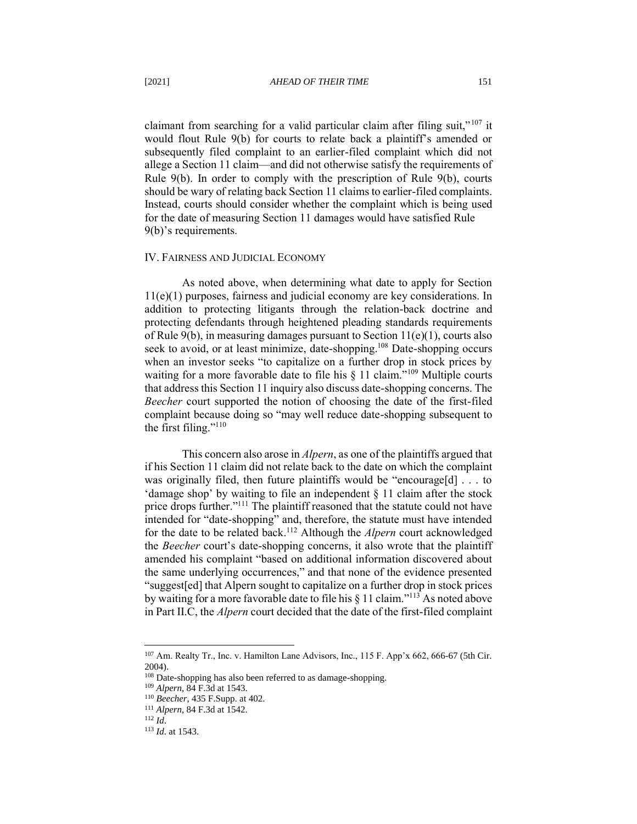claimant from searching for a valid particular claim after filing suit,"<sup>107</sup> it would flout Rule 9(b) for courts to relate back a plaintiff's amended or subsequently filed complaint to an earlier-filed complaint which did not allege a Section 11 claim—and did not otherwise satisfy the requirements of Rule 9(b). In order to comply with the prescription of Rule 9(b), courts should be wary of relating back Section 11 claims to earlier-filed complaints. Instead, courts should consider whether the complaint which is being used for the date of measuring Section 11 damages would have satisfied Rule 9(b)'s requirements.

#### <span id="page-17-0"></span>IV. FAIRNESS AND JUDICIAL ECONOMY

As noted above, when determining what date to apply for Section 11(e)(1) purposes, fairness and judicial economy are key considerations. In addition to protecting litigants through the relation-back doctrine and protecting defendants through heightened pleading standards requirements of Rule 9(b), in measuring damages pursuant to Section  $11(e)(1)$ , courts also seek to avoid, or at least minimize, date-shopping.<sup>108</sup> Date-shopping occurs when an investor seeks "to capitalize on a further drop in stock prices by waiting for a more favorable date to file his § 11 claim."<sup>109</sup> Multiple courts that address this Section 11 inquiry also discuss date-shopping concerns. The *Beecher* court supported the notion of choosing the date of the first-filed complaint because doing so "may well reduce date-shopping subsequent to the first filing."<sup>110</sup>

This concern also arose in *Alpern*, as one of the plaintiffs argued that if his Section 11 claim did not relate back to the date on which the complaint was originally filed, then future plaintiffs would be "encourage[d] . . . to 'damage shop' by waiting to file an independent  $\S$  11 claim after the stock price drops further."<sup>111</sup> The plaintiff reasoned that the statute could not have intended for "date-shopping" and, therefore, the statute must have intended for the date to be related back.<sup>112</sup> Although the *Alpern* court acknowledged the *Beecher* court's date-shopping concerns, it also wrote that the plaintiff amended his complaint "based on additional information discovered about the same underlying occurrences," and that none of the evidence presented "suggest[ed] that Alpern sought to capitalize on a further drop in stock prices by waiting for a more favorable date to file his  $\S 11$  claim."<sup>113</sup> As noted above in Part II.C, the *Alpern* court decided that the date of the first-filed complaint

<sup>107</sup> Am. Realty Tr., Inc. v. Hamilton Lane Advisors, Inc., 115 F. App'x 662, 666-67 (5th Cir. 2004).

<sup>&</sup>lt;sup>108</sup> Date-shopping has also been referred to as damage-shopping.

<sup>109</sup> *Alpern*, 84 F.3d at 1543.

<sup>110</sup> *Beecher*, 435 F.Supp. at 402.

<sup>111</sup> *Alpern*, 84 F.3d at 1542.

 $112 \bar{Id}$ 

<sup>113</sup> *Id*. at 1543.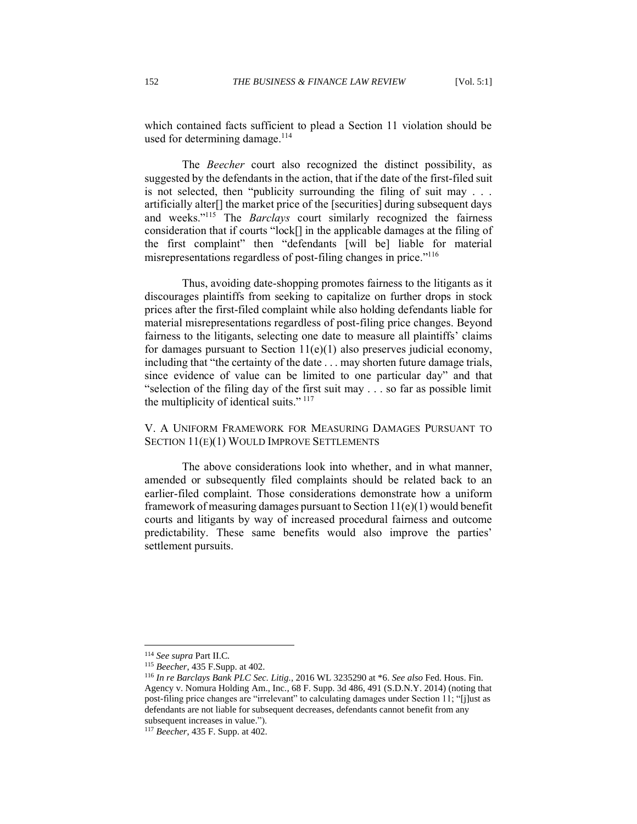which contained facts sufficient to plead a Section 11 violation should be used for determining damage. $114$ 

The *Beecher* court also recognized the distinct possibility, as suggested by the defendants in the action, that if the date of the first-filed suit is not selected, then "publicity surrounding the filing of suit may . . . artificially alter[] the market price of the [securities] during subsequent days and weeks."<sup>115</sup> The *Barclays* court similarly recognized the fairness consideration that if courts "lock[] in the applicable damages at the filing of the first complaint" then "defendants [will be] liable for material misrepresentations regardless of post-filing changes in price."<sup>116</sup>

Thus, avoiding date-shopping promotes fairness to the litigants as it discourages plaintiffs from seeking to capitalize on further drops in stock prices after the first-filed complaint while also holding defendants liable for material misrepresentations regardless of post-filing price changes. Beyond fairness to the litigants, selecting one date to measure all plaintiffs' claims for damages pursuant to Section  $11(e)(1)$  also preserves judicial economy, including that "the certainty of the date . . . may shorten future damage trials, since evidence of value can be limited to one particular day" and that "selection of the filing day of the first suit may . . . so far as possible limit the multiplicity of identical suits."  $117$ 

<span id="page-18-0"></span>V. A UNIFORM FRAMEWORK FOR MEASURING DAMAGES PURSUANT TO SECTION 11(E)(1) WOULD IMPROVE SETTLEMENTS

The above considerations look into whether, and in what manner, amended or subsequently filed complaints should be related back to an earlier-filed complaint. Those considerations demonstrate how a uniform framework of measuring damages pursuant to Section  $11(e)(1)$  would benefit courts and litigants by way of increased procedural fairness and outcome predictability. These same benefits would also improve the parties' settlement pursuits.

<sup>114</sup> *See supra* Part II.C*.*

<sup>115</sup> *Beecher*, 435 F.Supp. at 402.

<sup>116</sup> *In re Barclays Bank PLC Sec. Litig.*, 2016 WL 3235290 at \*6. *See also* Fed. Hous. Fin. Agency v. Nomura Holding Am., Inc.*,* 68 F. Supp. 3d 486, 491 (S.D.N.Y. 2014) (noting that post-filing price changes are "irrelevant" to calculating damages under Section 11; "[j]ust as defendants are not liable for subsequent decreases, defendants cannot benefit from any subsequent increases in value.").

<sup>117</sup> *Beecher*, 435 F. Supp. at 402.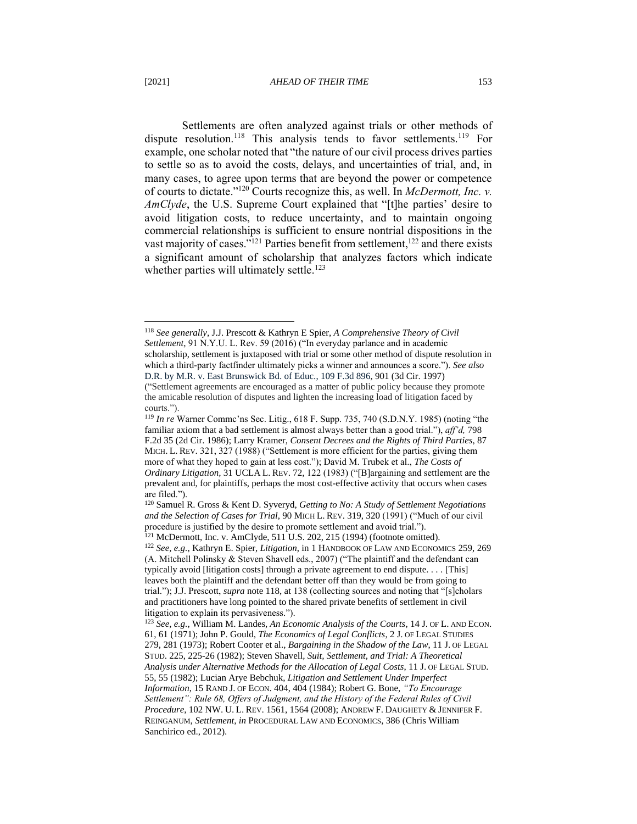Settlements are often analyzed against trials or other methods of dispute resolution.<sup>118</sup> This analysis tends to favor settlements.<sup>119</sup> For example, one scholar noted that "the nature of our civil process drives parties to settle so as to avoid the costs, delays, and uncertainties of trial, and, in many cases, to agree upon terms that are beyond the power or competence of courts to dictate."<sup>120</sup> Courts recognize this, as well. In *McDermott, Inc. v. AmClyde*, the U.S. Supreme Court explained that "[t]he parties' desire to avoid litigation costs, to reduce uncertainty, and to maintain ongoing commercial relationships is sufficient to ensure nontrial dispositions in the vast majority of cases."<sup>121</sup> Parties benefit from settlement,  $122$  and there exists a significant amount of scholarship that analyzes factors which indicate whether parties will ultimately settle.<sup>123</sup>

<sup>118</sup> *See generally*, J.J. Prescott & Kathryn E Spier, *A Comprehensive Theory of Civil Settlement*, 91 N.Y.U. L. Rev. 59 (2016) ("In everyday parlance and in academic scholarship, settlement is juxtaposed with trial or some other method of dispute resolution in which a third-party factfinder ultimately picks a winner and announces a score."). *See also* D.R. by M.R. v. East Brunswick Bd. of Educ., 109 F.3d 896, 901 (3d Cir. 1997) ("Settlement agreements are encouraged as a matter of public policy because they promote the amicable resolution of disputes and lighten the increasing load of litigation faced by courts.").

<sup>119</sup> *In re* Warner Commc'ns Sec. Litig., 618 F. Supp. 735, 740 (S.D.N.Y. 1985) (noting "the familiar axiom that a bad settlement is almost always better than a good trial."), *aff'd,* 798 F.2d 35 (2d Cir. 1986); Larry Kramer, *Consent Decrees and the Rights of Third Parties*, 87 MICH. L. REV. 321, 327 (1988) ("Settlement is more efficient for the parties, giving them more of what they hoped to gain at less cost."); David M. Trubek et al., *The Costs of Ordinary Litigation,* 31 UCLA L. REV. 72, 122 (1983) ("[B]argaining and settlement are the prevalent and, for plaintiffs, perhaps the most cost-effective activity that occurs when cases are filed.").

<sup>120</sup> Samuel R. Gross & Kent D. Syveryd, *Getting to No: A Study of Settlement Negotiations and the Selection of Cases for Trial*, 90 MICH L. REV. 319, 320 (1991) ("Much of our civil procedure is justified by the desire to promote settlement and avoid trial.").

<sup>121</sup> McDermott, Inc. v. AmClyde, 511 U.S. 202, 215 (1994) (footnote omitted). <sup>122</sup> *See, e.g.*, Kathryn E. Spier, *Litigation*, in 1 HANDBOOK OF LAW AND ECONOMICS 259, 269 (A. Mitchell Polinsky & Steven Shavell eds., 2007) ("The plaintiff and the defendant can typically avoid [litigation costs] through a private agreement to end dispute. . . . [This] leaves both the plaintiff and the defendant better off than they would be from going to trial."); J.J. Prescott, *supra* note 118, at 138 (collecting sources and noting that "[s]cholars and practitioners have long pointed to the shared private benefits of settlement in civil litigation to explain its pervasiveness.").

<sup>123</sup> *See, e.g.*, William M. Landes, *An Economic Analysis of the Courts*, 14 J. OF L. AND ECON. 61, 61 (1971); John P. Gould, *The Economics of Legal Conflicts*, 2 J. OF LEGAL STUDIES 279, 281 (1973); Robert Cooter et al., *Bargaining in the Shadow of the Law*, 11 J. OF LEGAL STUD. 225, 225-26 (1982); Steven Shavell*, Suit, Settlement, and Trial: A Theoretical Analysis under Alternative Methods for the Allocation of Legal Costs*, 11 J. OF LEGAL STUD. 55, 55 (1982); Lucian Arye Bebchuk, *Litigation and Settlement Under Imperfect Information*, 15 RAND J. OF ECON. 404, 404 (1984); Robert G. Bone, *"To Encourage Settlement": Rule 68, Offers of Judgment, and the History of the Federal Rules of Civil Procedure*, 102 NW. U. L. REV. 1561, 1564 (2008); ANDREW F. DAUGHETY & JENNIFER F. REINGANUM, *Settlement*, *in* PROCEDURAL LAW AND ECONOMICS, 386 (Chris William Sanchirico ed., 2012).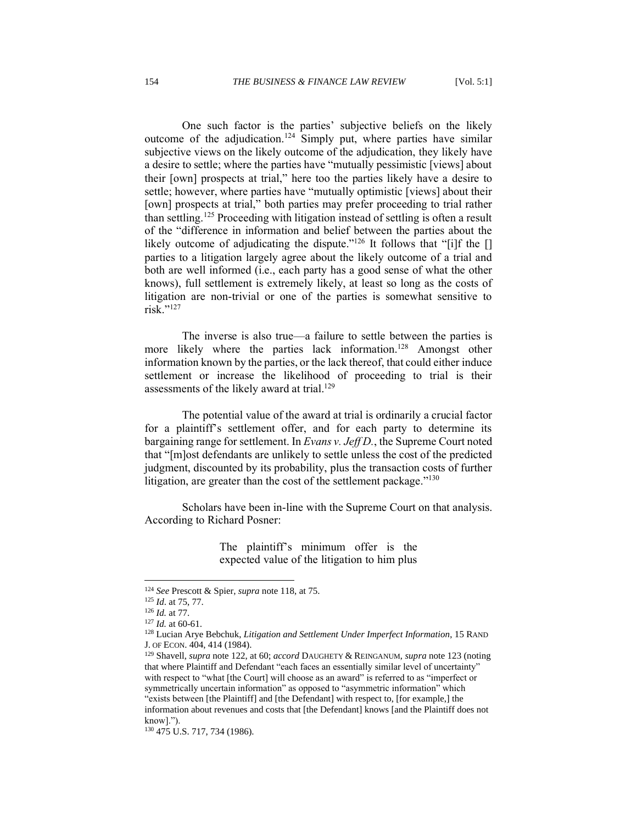One such factor is the parties' subjective beliefs on the likely outcome of the adjudication.<sup>124</sup> Simply put, where parties have similar subjective views on the likely outcome of the adjudication, they likely have a desire to settle; where the parties have "mutually pessimistic [views] about their [own] prospects at trial," here too the parties likely have a desire to settle; however, where parties have "mutually optimistic [views] about their [own] prospects at trial," both parties may prefer proceeding to trial rather than settling.<sup>125</sup> Proceeding with litigation instead of settling is often a result of the "difference in information and belief between the parties about the likely outcome of adjudicating the dispute."<sup>126</sup> It follows that "[i]f the [] parties to a litigation largely agree about the likely outcome of a trial and both are well informed (i.e., each party has a good sense of what the other knows), full settlement is extremely likely, at least so long as the costs of litigation are non-trivial or one of the parties is somewhat sensitive to risk."<sup>127</sup>

The inverse is also true—a failure to settle between the parties is more likely where the parties lack information.<sup>128</sup> Amongst other information known by the parties, or the lack thereof, that could either induce settlement or increase the likelihood of proceeding to trial is their assessments of the likely award at trial.<sup>129</sup>

The potential value of the award at trial is ordinarily a crucial factor for a plaintiff's settlement offer, and for each party to determine its bargaining range for settlement. In *Evans v. Jeff D.*, the Supreme Court noted that "[m]ost defendants are unlikely to settle unless the cost of the predicted judgment, discounted by its probability, plus the transaction costs of further litigation, are greater than the cost of the settlement package."<sup>130</sup>

Scholars have been in-line with the Supreme Court on that analysis. According to Richard Posner:

> The plaintiff's minimum offer is the expected value of the litigation to him plus

<sup>124</sup> *See* Prescott & Spier, *supra* note 118, at 75.

<sup>125</sup> *Id*. at 75, 77.

<sup>126</sup> *Id.* at 77.

<sup>127</sup> *Id.* at 60-61.

<sup>128</sup> Lucian Arye Bebchuk, *Litigation and Settlement Under Imperfect Information*, 15 RAND J. OF ECON. 404, 414 (1984).

<sup>129</sup> Shavell, *supra* note 122, at 60; *accord* DAUGHETY & REINGANUM, *supra* note 123 (noting that where Plaintiff and Defendant "each faces an essentially similar level of uncertainty" with respect to "what [the Court] will choose as an award" is referred to as "imperfect or symmetrically uncertain information" as opposed to "asymmetric information" which "exists between [the Plaintiff] and [the Defendant] with respect to, [for example,] the information about revenues and costs that [the Defendant] knows [and the Plaintiff does not know].").

<sup>130</sup> 475 U.S. 717, 734 (1986).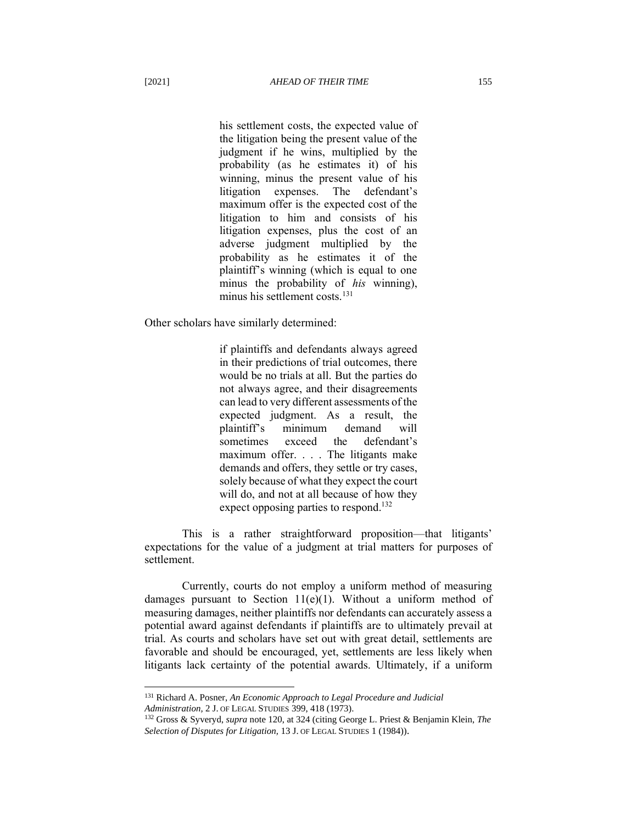his settlement costs, the expected value of the litigation being the present value of the judgment if he wins, multiplied by the probability (as he estimates it) of his winning, minus the present value of his litigation expenses. The defendant's maximum offer is the expected cost of the litigation to him and consists of his litigation expenses, plus the cost of an adverse judgment multiplied by the probability as he estimates it of the plaintiff's winning (which is equal to one minus the probability of *his* winning), minus his settlement costs.<sup>131</sup>

Other scholars have similarly determined:

if plaintiffs and defendants always agreed in their predictions of trial outcomes, there would be no trials at all. But the parties do not always agree, and their disagreements can lead to very different assessments of the expected judgment. As a result, the plaintiff's minimum demand will sometimes exceed the defendant's maximum offer. . . . The litigants make demands and offers, they settle or try cases, solely because of what they expect the court will do, and not at all because of how they expect opposing parties to respond.<sup>132</sup>

This is a rather straightforward proposition—that litigants' expectations for the value of a judgment at trial matters for purposes of settlement.

Currently, courts do not employ a uniform method of measuring damages pursuant to Section 11(e)(1). Without a uniform method of measuring damages, neither plaintiffs nor defendants can accurately assess a potential award against defendants if plaintiffs are to ultimately prevail at trial. As courts and scholars have set out with great detail, settlements are favorable and should be encouraged, yet, settlements are less likely when litigants lack certainty of the potential awards. Ultimately, if a uniform

<sup>131</sup> Richard A. Posner, *An Economic Approach to Legal Procedure and Judicial Administration,* 2 J. OF LEGAL STUDIES 399, 418 (1973).

<sup>132</sup> Gross & Syveryd, *supra* note 120, at 324 (citing George L. Priest & Benjamin Klein, *The Selection of Disputes for Litigation,* 13 J. OF LEGAL STUDIES 1 (1984)).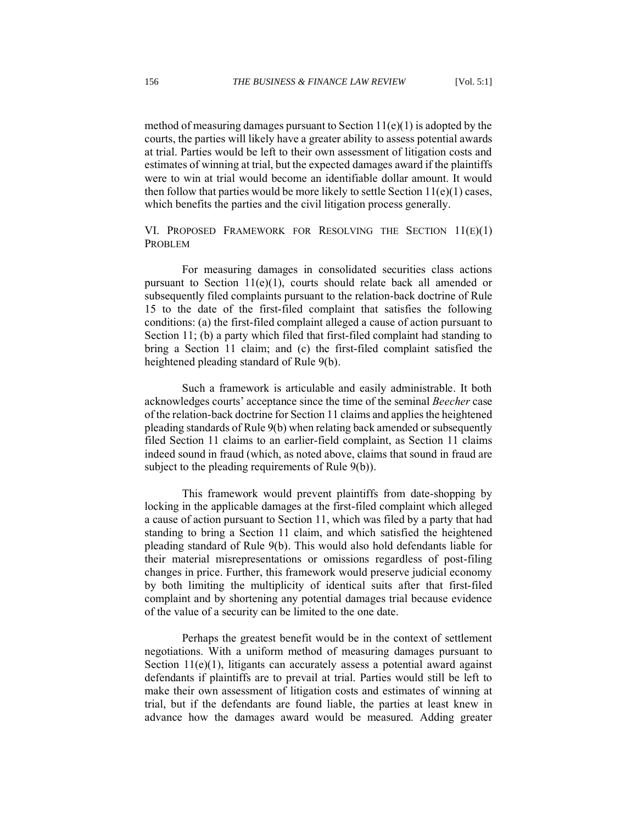method of measuring damages pursuant to Section  $11(e)(1)$  is adopted by the courts, the parties will likely have a greater ability to assess potential awards at trial. Parties would be left to their own assessment of litigation costs and estimates of winning at trial, but the expected damages award if the plaintiffs were to win at trial would become an identifiable dollar amount. It would then follow that parties would be more likely to settle Section  $11(e)(1)$  cases, which benefits the parties and the civil litigation process generally.

<span id="page-22-0"></span>VI. PROPOSED FRAMEWORK FOR RESOLVING THE SECTION 11(E)(1) PROBLEM

For measuring damages in consolidated securities class actions pursuant to Section  $11(e)(1)$ , courts should relate back all amended or subsequently filed complaints pursuant to the relation-back doctrine of Rule 15 to the date of the first-filed complaint that satisfies the following conditions: (a) the first-filed complaint alleged a cause of action pursuant to Section 11; (b) a party which filed that first-filed complaint had standing to bring a Section 11 claim; and (c) the first-filed complaint satisfied the heightened pleading standard of Rule 9(b).

Such a framework is articulable and easily administrable. It both acknowledges courts' acceptance since the time of the seminal *Beecher* case of the relation-back doctrine for Section 11 claims and applies the heightened pleading standards of Rule 9(b) when relating back amended or subsequently filed Section 11 claims to an earlier-field complaint, as Section 11 claims indeed sound in fraud (which, as noted above, claims that sound in fraud are subject to the pleading requirements of Rule 9(b)).

This framework would prevent plaintiffs from date-shopping by locking in the applicable damages at the first-filed complaint which alleged a cause of action pursuant to Section 11, which was filed by a party that had standing to bring a Section 11 claim, and which satisfied the heightened pleading standard of Rule 9(b). This would also hold defendants liable for their material misrepresentations or omissions regardless of post-filing changes in price. Further, this framework would preserve judicial economy by both limiting the multiplicity of identical suits after that first-filed complaint and by shortening any potential damages trial because evidence of the value of a security can be limited to the one date.

Perhaps the greatest benefit would be in the context of settlement negotiations. With a uniform method of measuring damages pursuant to Section 11(e)(1), litigants can accurately assess a potential award against defendants if plaintiffs are to prevail at trial. Parties would still be left to make their own assessment of litigation costs and estimates of winning at trial, but if the defendants are found liable, the parties at least knew in advance how the damages award would be measured. Adding greater